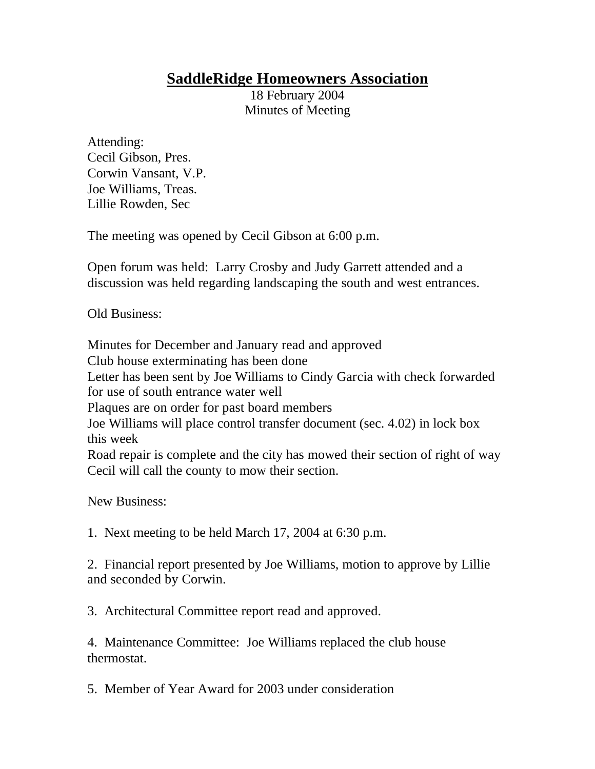## **SaddleRidge Homeowners Association**

18 February 2004 Minutes of Meeting

Attending: Cecil Gibson, Pres. Corwin Vansant, V.P. Joe Williams, Treas. Lillie Rowden, Sec

The meeting was opened by Cecil Gibson at 6:00 p.m.

Open forum was held: Larry Crosby and Judy Garrett attended and a discussion was held regarding landscaping the south and west entrances.

Old Business:

Minutes for December and January read and approved Club house exterminating has been done Letter has been sent by Joe Williams to Cindy Garcia with check forwarded for use of south entrance water well Plaques are on order for past board members Joe Williams will place control transfer document (sec. 4.02) in lock box this week Road repair is complete and the city has mowed their section of right of way Cecil will call the county to mow their section.

New Business:

1. Next meeting to be held March 17, 2004 at 6:30 p.m.

2. Financial report presented by Joe Williams, motion to approve by Lillie and seconded by Corwin.

3. Architectural Committee report read and approved.

4. Maintenance Committee: Joe Williams replaced the club house thermostat.

5. Member of Year Award for 2003 under consideration